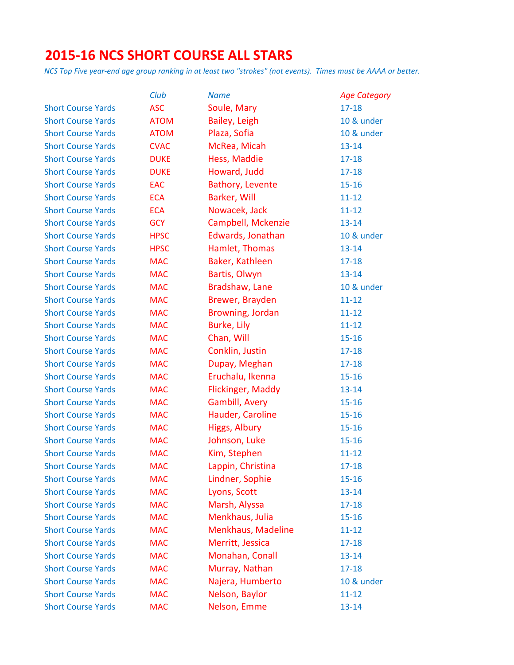# **2015-16 NCS SHORT COURSE ALL STARS**

|                           | Club        | <b>Name</b>              | <b>Age Category</b> |
|---------------------------|-------------|--------------------------|---------------------|
| <b>Short Course Yards</b> | <b>ASC</b>  | Soule, Mary              | $17 - 18$           |
| <b>Short Course Yards</b> | <b>ATOM</b> | Bailey, Leigh            | 10 & under          |
| <b>Short Course Yards</b> | <b>ATOM</b> | Plaza, Sofia             | 10 & under          |
| <b>Short Course Yards</b> | <b>CVAC</b> | McRea, Micah             | $13 - 14$           |
| <b>Short Course Yards</b> | <b>DUKE</b> | Hess, Maddie             | $17 - 18$           |
| <b>Short Course Yards</b> | <b>DUKE</b> | Howard, Judd             | $17 - 18$           |
| <b>Short Course Yards</b> | EAC         | Bathory, Levente         | $15 - 16$           |
| <b>Short Course Yards</b> | <b>ECA</b>  | Barker, Will             | $11 - 12$           |
| <b>Short Course Yards</b> | <b>ECA</b>  | Nowacek, Jack            | $11 - 12$           |
| <b>Short Course Yards</b> | <b>GCY</b>  | Campbell, Mckenzie       | $13 - 14$           |
| <b>Short Course Yards</b> | <b>HPSC</b> | Edwards, Jonathan        | 10 & under          |
| <b>Short Course Yards</b> | <b>HPSC</b> | Hamlet, Thomas           | $13 - 14$           |
| <b>Short Course Yards</b> | <b>MAC</b>  | Baker, Kathleen          | $17 - 18$           |
| <b>Short Course Yards</b> | <b>MAC</b>  | Bartis, Olwyn            | $13 - 14$           |
| <b>Short Course Yards</b> | <b>MAC</b>  | Bradshaw, Lane           | 10 & under          |
| <b>Short Course Yards</b> | <b>MAC</b>  | Brewer, Brayden          | $11 - 12$           |
| <b>Short Course Yards</b> | <b>MAC</b>  | Browning, Jordan         | $11 - 12$           |
| <b>Short Course Yards</b> | <b>MAC</b>  | Burke, Lily              | $11 - 12$           |
| <b>Short Course Yards</b> | <b>MAC</b>  | Chan, Will               | $15 - 16$           |
| <b>Short Course Yards</b> | <b>MAC</b>  | Conklin, Justin          | $17 - 18$           |
| <b>Short Course Yards</b> | <b>MAC</b>  | Dupay, Meghan            | $17 - 18$           |
| <b>Short Course Yards</b> | <b>MAC</b>  | Eruchalu, Ikenna         | $15 - 16$           |
| <b>Short Course Yards</b> | <b>MAC</b>  | <b>Flickinger, Maddy</b> | $13 - 14$           |
| <b>Short Course Yards</b> | <b>MAC</b>  | Gambill, Avery           | $15 - 16$           |
| <b>Short Course Yards</b> | <b>MAC</b>  | Hauder, Caroline         | $15 - 16$           |
| <b>Short Course Yards</b> | <b>MAC</b>  | Higgs, Albury            | $15 - 16$           |
| <b>Short Course Yards</b> | <b>MAC</b>  | Johnson, Luke            | $15 - 16$           |
| <b>Short Course Yards</b> | <b>MAC</b>  | Kim, Stephen             | $11 - 12$           |
| <b>Short Course Yards</b> | <b>MAC</b>  | Lappin, Christina        | 17-18               |
| <b>Short Course Yards</b> | <b>MAC</b>  | Lindner, Sophie          | $15 - 16$           |
| <b>Short Course Yards</b> | <b>MAC</b>  | Lyons, Scott             | $13 - 14$           |
| <b>Short Course Yards</b> | <b>MAC</b>  | Marsh, Alyssa            | $17 - 18$           |
| <b>Short Course Yards</b> | <b>MAC</b>  | Menkhaus, Julia          | $15 - 16$           |
| <b>Short Course Yards</b> | <b>MAC</b>  | Menkhaus, Madeline       | $11 - 12$           |
| <b>Short Course Yards</b> | <b>MAC</b>  | Merritt, Jessica         | 17-18               |
| <b>Short Course Yards</b> | <b>MAC</b>  | Monahan, Conall          | $13 - 14$           |
| <b>Short Course Yards</b> | <b>MAC</b>  | Murray, Nathan           | $17 - 18$           |
| <b>Short Course Yards</b> | <b>MAC</b>  | Najera, Humberto         | 10 & under          |
| <b>Short Course Yards</b> | <b>MAC</b>  | Nelson, Baylor           | $11 - 12$           |
| <b>Short Course Yards</b> | <b>MAC</b>  | Nelson, Emme             | $13 - 14$           |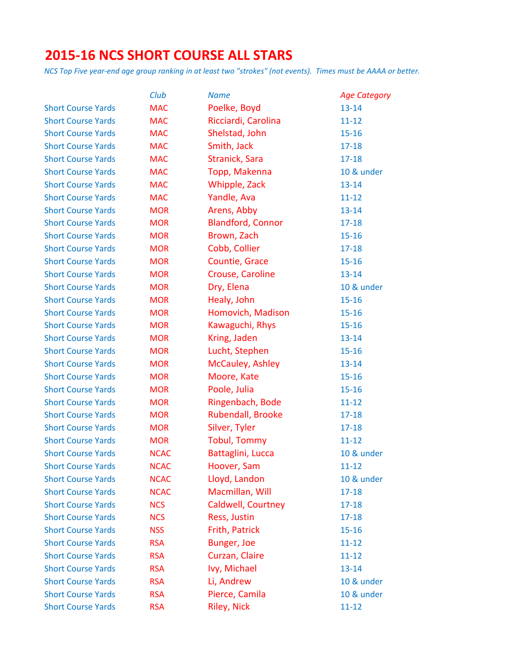# **2015-16 NCS SHORT COURSE ALL STARS**

|                           | Club        | <b>Name</b>               | <b>Age Category</b> |
|---------------------------|-------------|---------------------------|---------------------|
| <b>Short Course Yards</b> | <b>MAC</b>  | Poelke, Boyd              | $13 - 14$           |
| <b>Short Course Yards</b> | <b>MAC</b>  | Ricciardi, Carolina       | $11 - 12$           |
| <b>Short Course Yards</b> | <b>MAC</b>  | Shelstad, John            | $15 - 16$           |
| <b>Short Course Yards</b> | <b>MAC</b>  | Smith, Jack               | $17 - 18$           |
| <b>Short Course Yards</b> | <b>MAC</b>  | Stranick, Sara            | $17 - 18$           |
| <b>Short Course Yards</b> | <b>MAC</b>  | Topp, Makenna             | 10 & under          |
| <b>Short Course Yards</b> | <b>MAC</b>  | Whipple, Zack             | $13 - 14$           |
| <b>Short Course Yards</b> | <b>MAC</b>  | Yandle, Ava               | $11 - 12$           |
| <b>Short Course Yards</b> | <b>MOR</b>  | Arens, Abby               | $13 - 14$           |
| <b>Short Course Yards</b> | <b>MOR</b>  | <b>Blandford, Connor</b>  | $17 - 18$           |
| <b>Short Course Yards</b> | <b>MOR</b>  | Brown, Zach               | $15 - 16$           |
| <b>Short Course Yards</b> | <b>MOR</b>  | Cobb, Collier             | $17 - 18$           |
| <b>Short Course Yards</b> | <b>MOR</b>  | Countie, Grace            | $15 - 16$           |
| <b>Short Course Yards</b> | <b>MOR</b>  | Crouse, Caroline          | $13 - 14$           |
| <b>Short Course Yards</b> | <b>MOR</b>  | Dry, Elena                | 10 & under          |
| <b>Short Course Yards</b> | <b>MOR</b>  | Healy, John               | $15 - 16$           |
| <b>Short Course Yards</b> | <b>MOR</b>  | Homovich, Madison         | $15 - 16$           |
| <b>Short Course Yards</b> | <b>MOR</b>  | Kawaguchi, Rhys           | $15 - 16$           |
| <b>Short Course Yards</b> | <b>MOR</b>  | Kring, Jaden              | $13 - 14$           |
| <b>Short Course Yards</b> | <b>MOR</b>  | Lucht, Stephen            | $15 - 16$           |
| <b>Short Course Yards</b> | <b>MOR</b>  | McCauley, Ashley          | $13 - 14$           |
| <b>Short Course Yards</b> | <b>MOR</b>  | Moore, Kate               | $15 - 16$           |
| <b>Short Course Yards</b> | <b>MOR</b>  | Poole, Julia              | $15 - 16$           |
| <b>Short Course Yards</b> | <b>MOR</b>  | Ringenbach, Bode          | $11 - 12$           |
| <b>Short Course Yards</b> | <b>MOR</b>  | Rubendall, Brooke         | $17 - 18$           |
| <b>Short Course Yards</b> | <b>MOR</b>  | Silver, Tyler             | $17 - 18$           |
| <b>Short Course Yards</b> | <b>MOR</b>  | <b>Tobul, Tommy</b>       | $11 - 12$           |
| <b>Short Course Yards</b> | <b>NCAC</b> | Battaglini, Lucca         | 10 & under          |
| <b>Short Course Yards</b> | <b>NCAC</b> | Hoover, Sam               | $11 - 12$           |
| <b>Short Course Yards</b> | <b>NCAC</b> | Lloyd, Landon             | 10 & under          |
| <b>Short Course Yards</b> | <b>NCAC</b> | Macmillan, Will           | $17 - 18$           |
| <b>Short Course Yards</b> | <b>NCS</b>  | <b>Caldwell, Courtney</b> | $17 - 18$           |
| <b>Short Course Yards</b> | <b>NCS</b>  | Ress, Justin              | $17 - 18$           |
| <b>Short Course Yards</b> | <b>NSS</b>  | Frith, Patrick            | $15 - 16$           |
| <b>Short Course Yards</b> | <b>RSA</b>  | Bunger, Joe               | $11 - 12$           |
| <b>Short Course Yards</b> | <b>RSA</b>  | Curzan, Claire            | $11 - 12$           |
| <b>Short Course Yards</b> | <b>RSA</b>  | Ivy, Michael              | $13 - 14$           |
| <b>Short Course Yards</b> | <b>RSA</b>  | Li, Andrew                | 10 & under          |
| <b>Short Course Yards</b> | <b>RSA</b>  | Pierce, Camila            | 10 & under          |
| <b>Short Course Yards</b> | <b>RSA</b>  | <b>Riley, Nick</b>        | $11 - 12$           |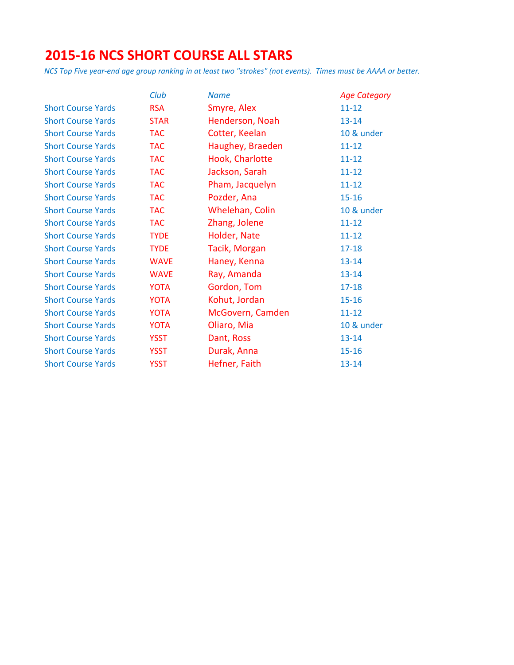# **2015-16 NCS SHORT COURSE ALL STARS**

|                           | <b>Club</b> | <b>Name</b>      | <b>Age Category</b> |
|---------------------------|-------------|------------------|---------------------|
| <b>Short Course Yards</b> | <b>RSA</b>  | Smyre, Alex      | $11 - 12$           |
| <b>Short Course Yards</b> | <b>STAR</b> | Henderson, Noah  | $13 - 14$           |
| <b>Short Course Yards</b> | <b>TAC</b>  | Cotter, Keelan   | 10 & under          |
| <b>Short Course Yards</b> | <b>TAC</b>  | Haughey, Braeden | $11 - 12$           |
| <b>Short Course Yards</b> | <b>TAC</b>  | Hook, Charlotte  | $11 - 12$           |
| <b>Short Course Yards</b> | <b>TAC</b>  | Jackson, Sarah   | $11 - 12$           |
| <b>Short Course Yards</b> | <b>TAC</b>  | Pham, Jacquelyn  | $11 - 12$           |
| <b>Short Course Yards</b> | <b>TAC</b>  | Pozder, Ana      | $15 - 16$           |
| <b>Short Course Yards</b> | <b>TAC</b>  | Whelehan, Colin  | 10 & under          |
| <b>Short Course Yards</b> | <b>TAC</b>  | Zhang, Jolene    | $11 - 12$           |
| <b>Short Course Yards</b> | <b>TYDE</b> | Holder, Nate     | $11 - 12$           |
| <b>Short Course Yards</b> | <b>TYDE</b> | Tacik, Morgan    | $17 - 18$           |
| <b>Short Course Yards</b> | <b>WAVE</b> | Haney, Kenna     | $13 - 14$           |
| <b>Short Course Yards</b> | <b>WAVE</b> | Ray, Amanda      | $13 - 14$           |
| <b>Short Course Yards</b> | <b>YOTA</b> | Gordon, Tom      | $17 - 18$           |
| <b>Short Course Yards</b> | <b>YOTA</b> | Kohut, Jordan    | $15 - 16$           |
| <b>Short Course Yards</b> | <b>YOTA</b> | McGovern, Camden | $11 - 12$           |
| <b>Short Course Yards</b> | <b>YOTA</b> | Oliaro, Mia      | 10 & under          |
| <b>Short Course Yards</b> | <b>YSST</b> | Dant, Ross       | $13 - 14$           |
| <b>Short Course Yards</b> | <b>YSST</b> | Durak, Anna      | $15 - 16$           |
| <b>Short Course Yards</b> | <b>YSST</b> | Hefner, Faith    | $13 - 14$           |
|                           |             |                  |                     |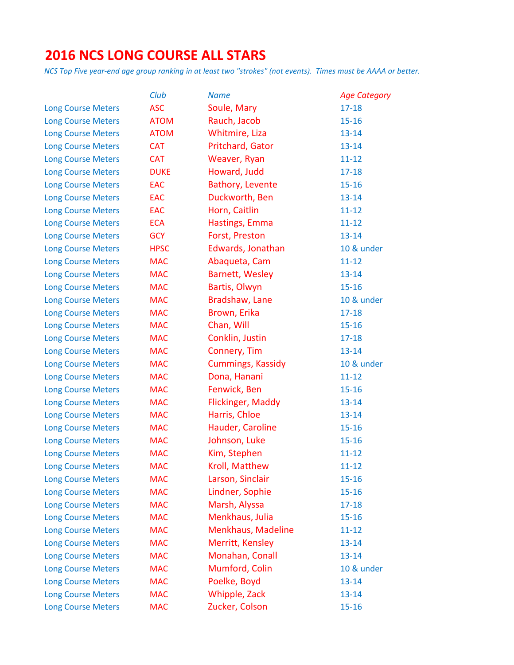# **2016 NCS LONG COURSE ALL STARS**

|                           | Club        | <b>Name</b>              | <b>Age Category</b> |
|---------------------------|-------------|--------------------------|---------------------|
| <b>Long Course Meters</b> | <b>ASC</b>  | Soule, Mary              | $17 - 18$           |
| <b>Long Course Meters</b> | <b>ATOM</b> | Rauch, Jacob             | $15 - 16$           |
| <b>Long Course Meters</b> | <b>ATOM</b> | Whitmire, Liza           | $13 - 14$           |
| <b>Long Course Meters</b> | <b>CAT</b>  | Pritchard, Gator         | $13 - 14$           |
| <b>Long Course Meters</b> | <b>CAT</b>  | Weaver, Ryan             | $11 - 12$           |
| <b>Long Course Meters</b> | <b>DUKE</b> | Howard, Judd             | $17 - 18$           |
| <b>Long Course Meters</b> | <b>EAC</b>  | Bathory, Levente         | $15 - 16$           |
| <b>Long Course Meters</b> | <b>EAC</b>  | Duckworth, Ben           | $13 - 14$           |
| <b>Long Course Meters</b> | <b>EAC</b>  | Horn, Caitlin            | $11 - 12$           |
| <b>Long Course Meters</b> | <b>ECA</b>  | Hastings, Emma           | $11 - 12$           |
| <b>Long Course Meters</b> | <b>GCY</b>  | Forst, Preston           | $13 - 14$           |
| <b>Long Course Meters</b> | <b>HPSC</b> | Edwards, Jonathan        | 10 & under          |
| <b>Long Course Meters</b> | <b>MAC</b>  | Abaqueta, Cam            | $11 - 12$           |
| <b>Long Course Meters</b> | <b>MAC</b>  | Barnett, Wesley          | $13 - 14$           |
| <b>Long Course Meters</b> | <b>MAC</b>  | Bartis, Olwyn            | $15 - 16$           |
| <b>Long Course Meters</b> | <b>MAC</b>  | Bradshaw, Lane           | 10 & under          |
| <b>Long Course Meters</b> | <b>MAC</b>  | Brown, Erika             | $17 - 18$           |
| <b>Long Course Meters</b> | <b>MAC</b>  | Chan, Will               | $15 - 16$           |
| <b>Long Course Meters</b> | <b>MAC</b>  | Conklin, Justin          | $17 - 18$           |
| <b>Long Course Meters</b> | <b>MAC</b>  | Connery, Tim             | $13 - 14$           |
| <b>Long Course Meters</b> | <b>MAC</b>  | <b>Cummings, Kassidy</b> | 10 & under          |
| <b>Long Course Meters</b> | <b>MAC</b>  | Dona, Hanani             | $11 - 12$           |
| <b>Long Course Meters</b> | <b>MAC</b>  | Fenwick, Ben             | $15 - 16$           |
| <b>Long Course Meters</b> | <b>MAC</b>  | <b>Flickinger, Maddy</b> | $13 - 14$           |
| <b>Long Course Meters</b> | <b>MAC</b>  | Harris, Chloe            | $13 - 14$           |
| <b>Long Course Meters</b> | <b>MAC</b>  | Hauder, Caroline         | $15 - 16$           |
| <b>Long Course Meters</b> | <b>MAC</b>  | Johnson, Luke            | $15 - 16$           |
| <b>Long Course Meters</b> | <b>MAC</b>  | Kim, Stephen             | $11 - 12$           |
| <b>Long Course Meters</b> | <b>MAC</b>  | Kroll, Matthew           | $11 - 12$           |
| <b>Long Course Meters</b> | <b>MAC</b>  | Larson, Sinclair         | $15 - 16$           |
| <b>Long Course Meters</b> | <b>MAC</b>  | Lindner, Sophie          | $15 - 16$           |
| <b>Long Course Meters</b> | <b>MAC</b>  | Marsh, Alyssa            | $17 - 18$           |
| <b>Long Course Meters</b> | <b>MAC</b>  | Menkhaus, Julia          | $15 - 16$           |
| <b>Long Course Meters</b> | <b>MAC</b>  | Menkhaus, Madeline       | $11 - 12$           |
| <b>Long Course Meters</b> | <b>MAC</b>  | Merritt, Kensley         | $13 - 14$           |
| <b>Long Course Meters</b> | <b>MAC</b>  | Monahan, Conall          | $13 - 14$           |
| <b>Long Course Meters</b> | <b>MAC</b>  | Mumford, Colin           | 10 & under          |
| <b>Long Course Meters</b> | <b>MAC</b>  | Poelke, Boyd             | $13 - 14$           |
| <b>Long Course Meters</b> | <b>MAC</b>  | Whipple, Zack            | $13 - 14$           |
| <b>Long Course Meters</b> | <b>MAC</b>  | Zucker, Colson           | $15 - 16$           |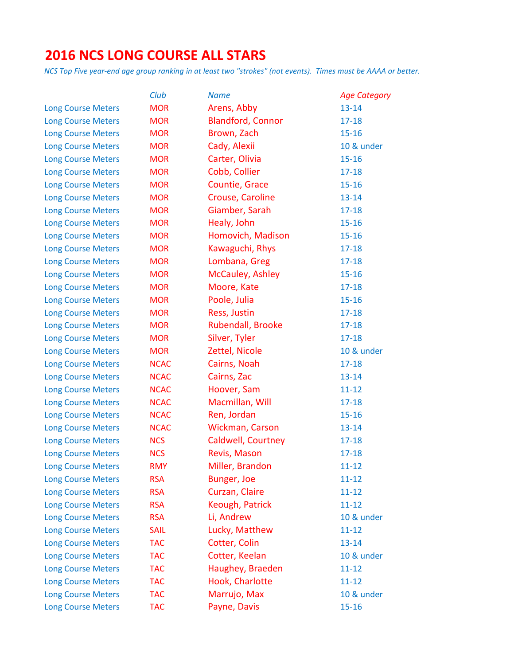# **2016 NCS LONG COURSE ALL STARS**

|                           | Club        | <b>Name</b>              | <b>Age Category</b> |
|---------------------------|-------------|--------------------------|---------------------|
| <b>Long Course Meters</b> | <b>MOR</b>  | Arens, Abby              | $13 - 14$           |
| <b>Long Course Meters</b> | <b>MOR</b>  | <b>Blandford, Connor</b> | $17 - 18$           |
| <b>Long Course Meters</b> | <b>MOR</b>  | Brown, Zach              | $15 - 16$           |
| <b>Long Course Meters</b> | <b>MOR</b>  | Cady, Alexii             | 10 & under          |
| <b>Long Course Meters</b> | <b>MOR</b>  | Carter, Olivia           | $15 - 16$           |
| <b>Long Course Meters</b> | <b>MOR</b>  | Cobb, Collier            | $17 - 18$           |
| <b>Long Course Meters</b> | <b>MOR</b>  | Countie, Grace           | $15 - 16$           |
| <b>Long Course Meters</b> | <b>MOR</b>  | Crouse, Caroline         | $13 - 14$           |
| <b>Long Course Meters</b> | <b>MOR</b>  | Giamber, Sarah           | $17 - 18$           |
| <b>Long Course Meters</b> | <b>MOR</b>  | Healy, John              | $15 - 16$           |
| <b>Long Course Meters</b> | <b>MOR</b>  | Homovich, Madison        | $15 - 16$           |
| <b>Long Course Meters</b> | <b>MOR</b>  | Kawaguchi, Rhys          | $17 - 18$           |
| <b>Long Course Meters</b> | <b>MOR</b>  | Lombana, Greg            | $17 - 18$           |
| <b>Long Course Meters</b> | <b>MOR</b>  | McCauley, Ashley         | $15 - 16$           |
| <b>Long Course Meters</b> | <b>MOR</b>  | Moore, Kate              | $17 - 18$           |
| <b>Long Course Meters</b> | <b>MOR</b>  | Poole, Julia             | $15 - 16$           |
| <b>Long Course Meters</b> | <b>MOR</b>  | Ress, Justin             | $17 - 18$           |
| <b>Long Course Meters</b> | <b>MOR</b>  | Rubendall, Brooke        | $17 - 18$           |
| <b>Long Course Meters</b> | <b>MOR</b>  | Silver, Tyler            | $17 - 18$           |
| <b>Long Course Meters</b> | <b>MOR</b>  | Zettel, Nicole           | 10 & under          |
| <b>Long Course Meters</b> | <b>NCAC</b> | Cairns, Noah             | $17 - 18$           |
| <b>Long Course Meters</b> | <b>NCAC</b> | Cairns, Zac              | $13 - 14$           |
| <b>Long Course Meters</b> | <b>NCAC</b> | Hoover, Sam              | $11 - 12$           |
| <b>Long Course Meters</b> | <b>NCAC</b> | Macmillan, Will          | $17 - 18$           |
| <b>Long Course Meters</b> | <b>NCAC</b> | Ren, Jordan              | $15 - 16$           |
| <b>Long Course Meters</b> | <b>NCAC</b> | Wickman, Carson          | $13 - 14$           |
| <b>Long Course Meters</b> | <b>NCS</b>  | Caldwell, Courtney       | $17 - 18$           |
| <b>Long Course Meters</b> | <b>NCS</b>  | Revis, Mason             | $17 - 18$           |
| <b>Long Course Meters</b> | <b>RMY</b>  | Miller, Brandon          | $11 - 12$           |
| <b>Long Course Meters</b> | <b>RSA</b>  | Bunger, Joe              | $11 - 12$           |
| <b>Long Course Meters</b> | <b>RSA</b>  | Curzan, Claire           | $11 - 12$           |
| <b>Long Course Meters</b> | <b>RSA</b>  | Keough, Patrick          | $11 - 12$           |
| <b>Long Course Meters</b> | <b>RSA</b>  | Li, Andrew               | 10 & under          |
| <b>Long Course Meters</b> | <b>SAIL</b> | Lucky, Matthew           | $11 - 12$           |
| <b>Long Course Meters</b> | <b>TAC</b>  | Cotter, Colin            | $13 - 14$           |
| <b>Long Course Meters</b> | <b>TAC</b>  | Cotter, Keelan           | 10 & under          |
| <b>Long Course Meters</b> | <b>TAC</b>  | Haughey, Braeden         | $11 - 12$           |
| <b>Long Course Meters</b> | <b>TAC</b>  | Hook, Charlotte          | $11 - 12$           |
| <b>Long Course Meters</b> | <b>TAC</b>  | Marrujo, Max             | 10 & under          |
| <b>Long Course Meters</b> | <b>TAC</b>  | Payne, Davis             | $15 - 16$           |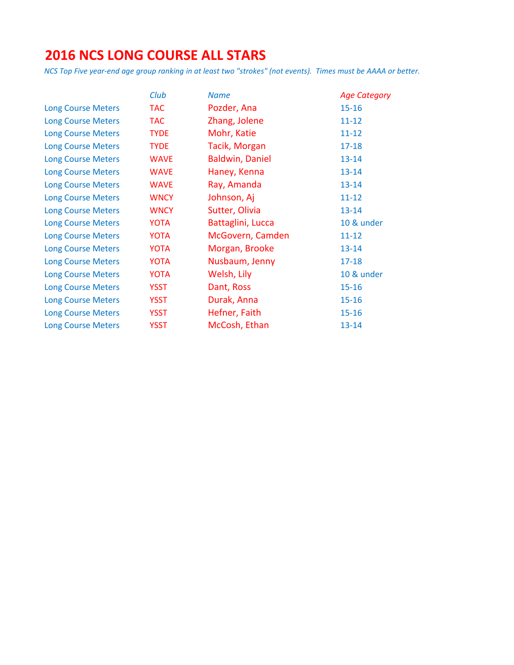# **2016 NCS LONG COURSE ALL STARS**

|                           | Club        | <b>Name</b>            | <b>Age Category</b> |
|---------------------------|-------------|------------------------|---------------------|
| <b>Long Course Meters</b> | <b>TAC</b>  | Pozder, Ana            | $15 - 16$           |
| <b>Long Course Meters</b> | <b>TAC</b>  | Zhang, Jolene          | $11 - 12$           |
| <b>Long Course Meters</b> | <b>TYDE</b> | Mohr, Katie            | $11 - 12$           |
| <b>Long Course Meters</b> | <b>TYDE</b> | Tacik, Morgan          | $17 - 18$           |
| <b>Long Course Meters</b> | <b>WAVE</b> | <b>Baldwin, Daniel</b> | $13 - 14$           |
| <b>Long Course Meters</b> | <b>WAVE</b> | Haney, Kenna           | $13 - 14$           |
| <b>Long Course Meters</b> | <b>WAVE</b> | Ray, Amanda            | $13 - 14$           |
| <b>Long Course Meters</b> | <b>WNCY</b> | Johnson, Aj            | $11 - 12$           |
| <b>Long Course Meters</b> | <b>WNCY</b> | Sutter, Olivia         | $13 - 14$           |
| <b>Long Course Meters</b> | YOTA        | Battaglini, Lucca      | 10 & under          |
| <b>Long Course Meters</b> | YOTA        | McGovern, Camden       | $11 - 12$           |
| <b>Long Course Meters</b> | YOTA        | Morgan, Brooke         | $13 - 14$           |
| <b>Long Course Meters</b> | YOTA        | Nusbaum, Jenny         | $17 - 18$           |
| <b>Long Course Meters</b> | YOTA        | Welsh, Lily            | 10 & under          |
| <b>Long Course Meters</b> | <b>YSST</b> | Dant, Ross             | $15 - 16$           |
| <b>Long Course Meters</b> | <b>YSST</b> | Durak, Anna            | $15 - 16$           |
| <b>Long Course Meters</b> | <b>YSST</b> | Hefner, Faith          | $15 - 16$           |
| <b>Long Course Meters</b> | <b>YSST</b> | McCosh, Ethan          | $13 - 14$           |
|                           |             |                        |                     |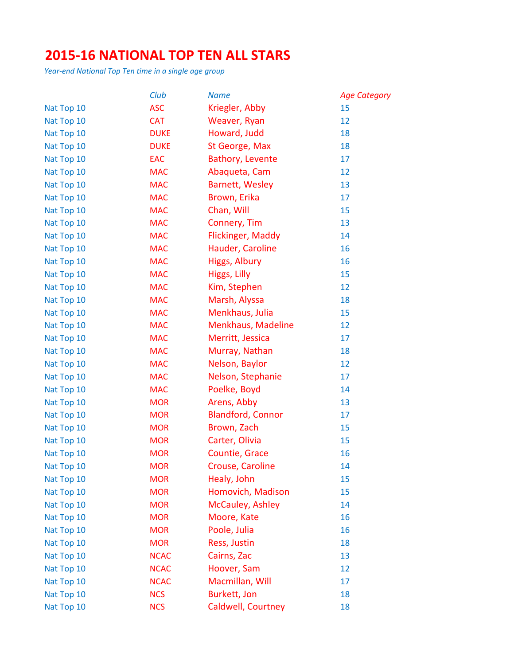#### **2015-16 NATIONAL TOP TEN ALL STARS**

*Year-end National Top Ten time in a single age group*

|            | Club        | <b>Name</b>              | <b>Age Category</b> |
|------------|-------------|--------------------------|---------------------|
| Nat Top 10 | <b>ASC</b>  | Kriegler, Abby           | 15                  |
| Nat Top 10 | <b>CAT</b>  | Weaver, Ryan             | 12                  |
| Nat Top 10 | <b>DUKE</b> | Howard, Judd             | 18                  |
| Nat Top 10 | <b>DUKE</b> | St George, Max           | 18                  |
| Nat Top 10 | EAC         | Bathory, Levente         | 17                  |
| Nat Top 10 | <b>MAC</b>  | Abaqueta, Cam            | 12                  |
| Nat Top 10 | <b>MAC</b>  | <b>Barnett, Wesley</b>   | 13                  |
| Nat Top 10 | <b>MAC</b>  | Brown, Erika             | 17                  |
| Nat Top 10 | <b>MAC</b>  | Chan, Will               | 15                  |
| Nat Top 10 | <b>MAC</b>  | Connery, Tim             | 13                  |
| Nat Top 10 | <b>MAC</b>  | Flickinger, Maddy        | 14                  |
| Nat Top 10 | <b>MAC</b>  | Hauder, Caroline         | 16                  |
| Nat Top 10 | <b>MAC</b>  | Higgs, Albury            | 16                  |
| Nat Top 10 | <b>MAC</b>  | Higgs, Lilly             | 15                  |
| Nat Top 10 | <b>MAC</b>  | Kim, Stephen             | 12                  |
| Nat Top 10 | <b>MAC</b>  | Marsh, Alyssa            | 18                  |
| Nat Top 10 | <b>MAC</b>  | Menkhaus, Julia          | 15                  |
| Nat Top 10 | <b>MAC</b>  | Menkhaus, Madeline       | 12                  |
| Nat Top 10 | <b>MAC</b>  | Merritt, Jessica         | 17                  |
| Nat Top 10 | <b>MAC</b>  | Murray, Nathan           | 18                  |
| Nat Top 10 | <b>MAC</b>  | Nelson, Baylor           | 12                  |
| Nat Top 10 | <b>MAC</b>  | Nelson, Stephanie        | 17                  |
| Nat Top 10 | <b>MAC</b>  | Poelke, Boyd             | 14                  |
| Nat Top 10 | <b>MOR</b>  | Arens, Abby              | 13                  |
| Nat Top 10 | <b>MOR</b>  | <b>Blandford, Connor</b> | 17                  |
| Nat Top 10 | <b>MOR</b>  | Brown, Zach              | 15                  |
| Nat Top 10 | <b>MOR</b>  | Carter, Olivia           | 15                  |
| Nat Top 10 | <b>MOR</b>  | Countie, Grace           | 16                  |
| Nat Top 10 | <b>MOR</b>  | <b>Crouse, Caroline</b>  | 14                  |
| Nat Top 10 | <b>MOR</b>  | Healy, John              | 15                  |
| Nat Top 10 | <b>MOR</b>  | Homovich, Madison        | 15                  |
| Nat Top 10 | <b>MOR</b>  | McCauley, Ashley         | 14                  |
| Nat Top 10 | <b>MOR</b>  | Moore, Kate              | 16                  |
| Nat Top 10 | <b>MOR</b>  | Poole, Julia             | 16                  |
| Nat Top 10 | <b>MOR</b>  | Ress, Justin             | 18                  |
| Nat Top 10 | <b>NCAC</b> | Cairns, Zac              | 13                  |
| Nat Top 10 | <b>NCAC</b> | Hoover, Sam              | 12                  |
| Nat Top 10 | <b>NCAC</b> | Macmillan, Will          | 17                  |
| Nat Top 10 | <b>NCS</b>  | Burkett, Jon             | 18                  |
| Nat Top 10 | <b>NCS</b>  | Caldwell, Courtney       | 18                  |
|            |             |                          |                     |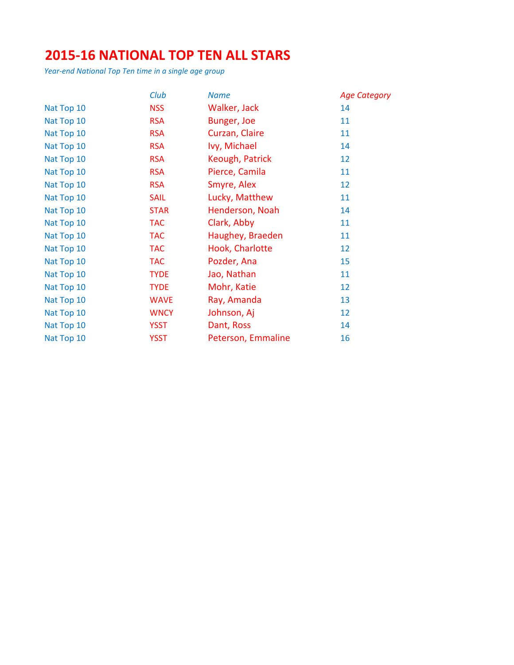#### **2015-16 NATIONAL TOP TEN ALL STARS**

*Year-end National Top Ten time in a single age group*

|            | Club        | <b>Name</b>        | <b>Age Category</b> |
|------------|-------------|--------------------|---------------------|
| Nat Top 10 | <b>NSS</b>  | Walker, Jack       | 14                  |
| Nat Top 10 | <b>RSA</b>  | Bunger, Joe        | 11                  |
| Nat Top 10 | <b>RSA</b>  | Curzan, Claire     | 11                  |
| Nat Top 10 | <b>RSA</b>  | Ivy, Michael       | 14                  |
| Nat Top 10 | <b>RSA</b>  | Keough, Patrick    | 12                  |
| Nat Top 10 | <b>RSA</b>  | Pierce, Camila     | 11                  |
| Nat Top 10 | <b>RSA</b>  | Smyre, Alex        | 12                  |
| Nat Top 10 | <b>SAIL</b> | Lucky, Matthew     | 11                  |
| Nat Top 10 | <b>STAR</b> | Henderson, Noah    | 14                  |
| Nat Top 10 | <b>TAC</b>  | Clark, Abby        | 11                  |
| Nat Top 10 | <b>TAC</b>  | Haughey, Braeden   | 11                  |
| Nat Top 10 | <b>TAC</b>  | Hook, Charlotte    | 12                  |
| Nat Top 10 | <b>TAC</b>  | Pozder, Ana        | 15                  |
| Nat Top 10 | <b>TYDE</b> | Jao, Nathan        | 11                  |
| Nat Top 10 | <b>TYDE</b> | Mohr, Katie        | 12                  |
| Nat Top 10 | <b>WAVE</b> | Ray, Amanda        | 13                  |
| Nat Top 10 | <b>WNCY</b> | Johnson, Aj        | 12                  |
| Nat Top 10 | <b>YSST</b> | Dant, Ross         | 14                  |
| Nat Top 10 | <b>YSST</b> | Peterson, Emmaline | 16                  |
|            |             |                    |                     |